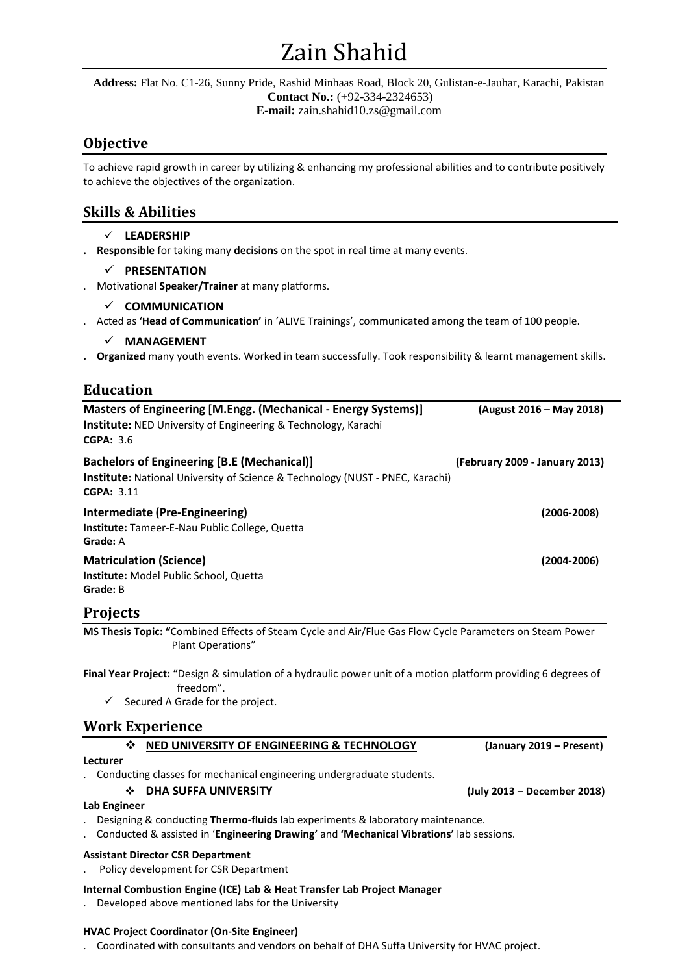# Zain Shahid

**Address:** Flat No. C1-26, Sunny Pride, Rashid Minhaas Road, Block 20, Gulistan-e-Jauhar, Karachi, Pakistan **Contact No.:** (+92-334-2324653) **E-mail:** zain.shahid10.zs@gmail.com

# **Objective**

To achieve rapid growth in career by utilizing & enhancing my professional abilities and to contribute positively to achieve the objectives of the organization.

# **Skills & Abilities**

- **LEADERSHIP**
- **. Responsible** for taking many **decisions** on the spot in real time at many events.

# **PRESENTATION**

. Motivational **Speaker/Trainer** at many platforms.

# **COMMUNICATION**

. Acted as **'Head of Communication'** in 'ALIVE Trainings', communicated among the team of 100 people.

**MANAGEMENT**

**. Organized** many youth events. Worked in team successfully. Took responsibility & learnt management skills.

# **Education**

| Masters of Engineering [M.Engg. (Mechanical - Energy Systems)]<br><b>Institute:</b> NED University of Engineering & Technology, Karachi<br><b>CGPA: 3.6</b> | (August 2016 – May 2018)       |  |  |  |
|-------------------------------------------------------------------------------------------------------------------------------------------------------------|--------------------------------|--|--|--|
| <b>Bachelors of Engineering [B.E (Mechanical)]</b><br>Institute: National University of Science & Technology (NUST - PNEC, Karachi)<br><b>CGPA: 3.11</b>    | (February 2009 - January 2013) |  |  |  |
| Intermediate (Pre-Engineering)<br>$(2006 - 2008)$<br>Institute: Tameer-E-Nau Public College, Quetta<br>Grade: A                                             |                                |  |  |  |
| <b>Matriculation (Science)</b><br>$(2004 - 2006)$<br>Institute: Model Public School, Quetta<br>Grade: B                                                     |                                |  |  |  |
| <b>Projects</b>                                                                                                                                             |                                |  |  |  |
| MS Thesis Topic: "Combined Effects of Steam Cycle and Air/Flue Gas Flow Cycle Parameters on Steam Power<br>Plant Operations"                                |                                |  |  |  |
| Final Year Project: "Design & simulation of a hydraulic power unit of a motion platform providing 6 degrees of<br>freedom".                                 |                                |  |  |  |
| Secured A Grade for the project.<br>✓                                                                                                                       |                                |  |  |  |
| <b>Work Experience</b>                                                                                                                                      |                                |  |  |  |
| NED UNIVERSITY OF ENGINEERING & TECHNOLOGY<br>∙≫                                                                                                            | (January 2019 – Present)       |  |  |  |

## **Lecturer**

. Conducting classes for mechanical engineering undergraduate students.

## **DHA SUFFA UNIVERSITY (July 2013 – December 2018)**

**Lab Engineer**

. Designing & conducting **Thermo-fluids** lab experiments & laboratory maintenance.

. Conducted & assisted in '**Engineering Drawing'** and **'Mechanical Vibrations'** lab sessions.

## **Assistant Director CSR Department**

- . Policy development for CSR Department
- **Internal Combustion Engine (ICE) Lab & Heat Transfer Lab Project Manager**
- . Developed above mentioned labs for the University

#### **HVAC Project Coordinator (On-Site Engineer)**

. Coordinated with consultants and vendors on behalf of DHA Suffa University for HVAC project.